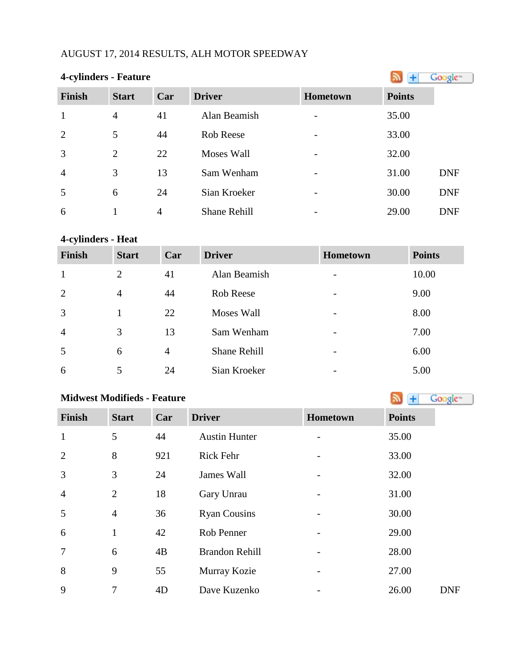## AUGUST 17, 2014 RESULTS, ALH MOTOR SPEEDWAY

| <b>4-cylinders - Feature</b> |                |     |                     |                          |               | Google <sup>®</sup> |
|------------------------------|----------------|-----|---------------------|--------------------------|---------------|---------------------|
| <b>Finish</b>                | <b>Start</b>   | Car | <b>Driver</b>       | <b>Hometown</b>          | <b>Points</b> |                     |
| $\mathbf{1}$                 | 4              | 41  | Alan Beamish        |                          | 35.00         |                     |
| 2                            | 5              | 44  | Rob Reese           | $\overline{\phantom{a}}$ | 33.00         |                     |
| 3                            | $\overline{2}$ | 22  | <b>Moses Wall</b>   |                          | 32.00         |                     |
| $\overline{4}$               | 3              | 13  | Sam Wenham          |                          | 31.00         | <b>DNF</b>          |
| 5                            | 6              | 24  | Sian Kroeker        |                          | 30.00         | <b>DNF</b>          |
| 6                            |                | 4   | <b>Shane Rehill</b> |                          | 29.00         | <b>DNF</b>          |

## **4-cylinders - Heat**

| <b>Finish</b>  | <b>Start</b> | Car            | <b>Driver</b>       | <b>Hometown</b>          | <b>Points</b> |
|----------------|--------------|----------------|---------------------|--------------------------|---------------|
| $\mathbf{1}$   | 2            | 41             | Alan Beamish        |                          | 10.00         |
| $\overline{2}$ | 4            | 44             | Rob Reese           | $\overline{\phantom{0}}$ | 9.00          |
| 3              |              | 22             | Moses Wall          |                          | 8.00          |
| $\overline{4}$ | 3            | 13             | Sam Wenham          |                          | 7.00          |
| 5              | 6            | $\overline{4}$ | <b>Shane Rehill</b> |                          | 6.00          |
| 6              |              | 24             | Sian Kroeker        |                          | 5.00          |

## **Midwest Modifieds - Feature**

| <b>Finish</b>  | <b>Start</b>   | Car | <b>Driver</b>         | Hometown | <b>Points</b> |
|----------------|----------------|-----|-----------------------|----------|---------------|
| $\mathbf{1}$   | 5              | 44  | <b>Austin Hunter</b>  |          | 35.00         |
| $\overline{2}$ | 8              | 921 | <b>Rick Fehr</b>      |          | 33.00         |
| $\overline{3}$ | 3              | 24  | James Wall            |          | 32.00         |
| $\overline{4}$ | $\overline{2}$ | 18  | Gary Unrau            |          | 31.00         |
| 5              | $\overline{4}$ | 36  | <b>Ryan Cousins</b>   |          | 30.00         |
| 6              | $\mathbf{1}$   | 42  | Rob Penner            |          | 29.00         |
| $\overline{7}$ | 6              | 4B  | <b>Brandon Rehill</b> |          | 28.00         |
| 8              | 9              | 55  | Murray Kozie          |          | 27.00         |
| 9              | 7              | 4D  | Dave Kuzenko          |          | 26.00         |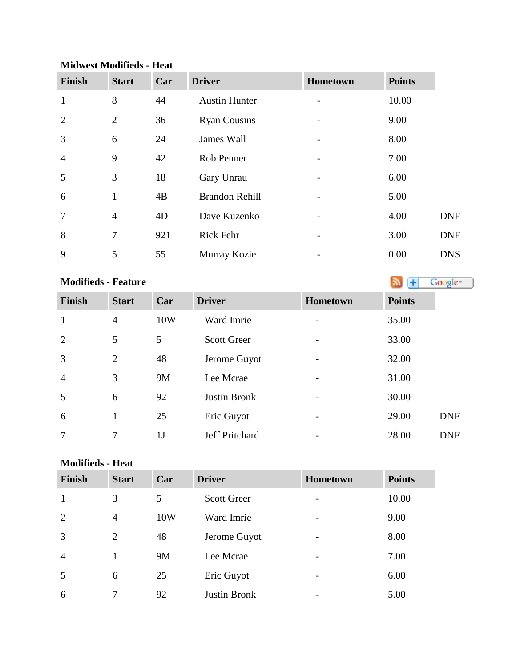| <b>Finish</b>  | <b>Start</b>   | Car | <b>Driver</b>         | Hometown | <b>Points</b> |            |
|----------------|----------------|-----|-----------------------|----------|---------------|------------|
| $\mathbf{1}$   | 8              | 44  | <b>Austin Hunter</b>  |          | 10.00         |            |
| $\overline{2}$ | 2              | 36  | <b>Ryan Cousins</b>   |          | 9.00          |            |
| 3              | 6              | 24  | James Wall            |          | 8.00          |            |
| $\overline{4}$ | 9              | 42  | Rob Penner            |          | 7.00          |            |
| 5              | 3              | 18  | Gary Unrau            |          | 6.00          |            |
| 6              | 1              | 4B  | <b>Brandon Rehill</b> |          | 5.00          |            |
| 7              | $\overline{4}$ | 4D  | Dave Kuzenko          |          | 4.00          | <b>DNF</b> |
| 8              | $\overline{7}$ | 921 | <b>Rick Fehr</b>      |          | 3.00          | <b>DNF</b> |
| 9              | 5              | 55  | Murray Kozie          |          | 0.00          | <b>DNS</b> |

### **Midwest Modifieds - Heat**

# **Modifieds - Feature**

| <b>Finish</b>  | <b>Start</b>   | Car            | <b>Driver</b>      | <b>Hometown</b>          | <b>Points</b> |
|----------------|----------------|----------------|--------------------|--------------------------|---------------|
| $\mathbf{1}$   | 4              | 10W            | Ward Imrie         |                          | 35.00         |
| 2              | 5              | 5              | <b>Scott Greer</b> | -                        | 33.00         |
| 3              | $\overline{2}$ | 48             | Jerome Guyot       |                          | 32.00         |
| $\overline{4}$ | 3              | 9M             | Lee Mcrae          | -                        | 31.00         |
| 5              | 6              | 92             | Justin Bronk       |                          | 30.00         |
| 6              | 1              | 25             | Eric Guyot         | $\overline{\phantom{0}}$ | 29.00         |
| 7              | 7              | 1 <sub>J</sub> | Jeff Pritchard     |                          | 28.00         |

## **Modifieds - Heat**

| <b>Finish</b>  | <b>Start</b>   | Car | <b>Driver</b>       | <b>Hometown</b>          | <b>Points</b> |
|----------------|----------------|-----|---------------------|--------------------------|---------------|
| 1              | 3              | 5   | <b>Scott Greer</b>  | $\overline{\phantom{0}}$ | 10.00         |
| 2              | $\overline{4}$ | 10W | Ward Imrie          |                          | 9.00          |
| 3              | 2              | 48  | Jerome Guyot        |                          | 8.00          |
| $\overline{4}$ |                | 9M  | Lee Mcrae           |                          | 7.00          |
| 5              | 6              | 25  | Eric Guyot          | $\overline{\phantom{0}}$ | 6.00          |
| 6              |                | 92  | <b>Justin Bronk</b> |                          | 5.00          |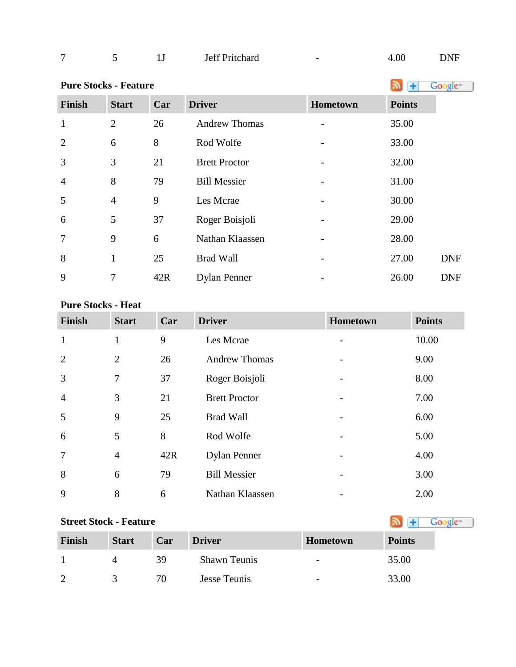| – |  | $\sim$ | <b>Jeff Pritchard</b> | $\overline{\phantom{0}}$ | 00 | NNF<br>the contract of the contract of the |
|---|--|--------|-----------------------|--------------------------|----|--------------------------------------------|
|---|--|--------|-----------------------|--------------------------|----|--------------------------------------------|

| <b>Pure Stocks - Feature</b> |                |     |                      |          | +             | Google <sup>®</sup> |
|------------------------------|----------------|-----|----------------------|----------|---------------|---------------------|
| <b>Finish</b>                | <b>Start</b>   | Car | <b>Driver</b>        | Hometown | <b>Points</b> |                     |
| $\mathbf{1}$                 | $\overline{2}$ | 26  | <b>Andrew Thomas</b> |          | 35.00         |                     |
| $\overline{2}$               | 6              | 8   | Rod Wolfe            |          | 33.00         |                     |
| 3                            | 3              | 21  | <b>Brett Proctor</b> |          | 32.00         |                     |
| $\overline{4}$               | 8              | 79  | <b>Bill Messier</b>  |          | 31.00         |                     |
| 5                            | $\overline{4}$ | 9   | Les Mcrae            |          | 30.00         |                     |
| 6                            | 5              | 37  | Roger Boisjoli       |          | 29.00         |                     |
| $\overline{7}$               | 9              | 6   | Nathan Klaassen      |          | 28.00         |                     |
| 8                            | 1              | 25  | <b>Brad Wall</b>     |          | 27.00         | <b>DNF</b>          |
| 9                            | $\overline{7}$ | 42R | <b>Dylan Penner</b>  |          | 26.00         | <b>DNF</b>          |

## **Pure Stocks - Heat**

| <b>Finish</b>   | <b>Start</b>   | Car | <b>Driver</b>        | Hometown | <b>Points</b> |
|-----------------|----------------|-----|----------------------|----------|---------------|
| $\mathbf{1}$    | $\mathbf{1}$   | 9   | Les Mcrae            |          | 10.00         |
| 2               | $\overline{2}$ | 26  | <b>Andrew Thomas</b> |          | 9.00          |
| 3               | $\overline{7}$ | 37  | Roger Boisjoli       |          | 8.00          |
| $\overline{4}$  | 3              | 21  | <b>Brett Proctor</b> |          | 7.00          |
| 5               | 9              | 25  | <b>Brad Wall</b>     |          | 6.00          |
| 6               | 5              | 8   | Rod Wolfe            |          | 5.00          |
| $7\phantom{.0}$ | $\overline{4}$ | 42R | <b>Dylan Penner</b>  |          | 4.00          |
| 8               | 6              | 79  | <b>Bill Messier</b>  |          | 3.00          |
| 9               | 8              | 6   | Nathan Klaassen      |          | 2.00          |

# **StreetStock - Feature Street Stock - Feature**

| <b>Finish</b> | <b>Start</b> | Car | <b>Driver</b>       | <b>Hometown</b>          | <b>Points</b> |
|---------------|--------------|-----|---------------------|--------------------------|---------------|
|               |              | 39  | <b>Shawn Teunis</b> | $\overline{\phantom{a}}$ | 35.00         |
| - 2           |              | 70  | Jesse Teunis        | $\overline{\phantom{0}}$ | 33.00         |